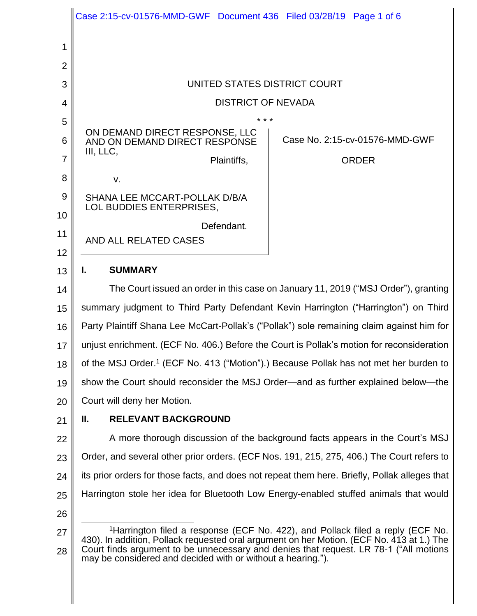|                | Case 2:15-cv-01576-MMD-GWF Document 436 Filed 03/28/19 Page 1 of 6                                                                                                                      |
|----------------|-----------------------------------------------------------------------------------------------------------------------------------------------------------------------------------------|
| 1              |                                                                                                                                                                                         |
| $\overline{2}$ |                                                                                                                                                                                         |
| 3              | UNITED STATES DISTRICT COURT                                                                                                                                                            |
| 4              | <b>DISTRICT OF NEVADA</b>                                                                                                                                                               |
| 5              | * * *                                                                                                                                                                                   |
| 6              | ON DEMAND DIRECT RESPONSE, LLC<br>Case No. 2:15-cv-01576-MMD-GWF<br>AND ON DEMAND DIRECT RESPONSE                                                                                       |
| $\overline{7}$ | III, LLC,<br><b>ORDER</b><br>Plaintiffs,                                                                                                                                                |
| 8              | V.                                                                                                                                                                                      |
| 9<br>10        | SHANA LEE MCCART-POLLAK D/B/A<br>LOL BUDDIES ENTERPRISES,                                                                                                                               |
| 11             | Defendant.                                                                                                                                                                              |
| 12             | <b>AND ALL RELATED CASES</b>                                                                                                                                                            |
| 13             | <b>SUMMARY</b><br>L.                                                                                                                                                                    |
| 14             | The Court issued an order in this case on January 11, 2019 ("MSJ Order"), granting                                                                                                      |
| 15             | summary judgment to Third Party Defendant Kevin Harrington ("Harrington") on Third                                                                                                      |
| 16             | Party Plaintiff Shana Lee McCart-Pollak's ("Pollak") sole remaining claim against him for                                                                                               |
| 17             | unjust enrichment. (ECF No. 406.) Before the Court is Pollak's motion for reconsideration                                                                                               |
| 18             | of the MSJ Order. <sup>1</sup> (ECF No. 413 ("Motion").) Because Pollak has not met her burden to                                                                                       |
| 19             | show the Court should reconsider the MSJ Order—and as further explained below—the                                                                                                       |
| 20             | Court will deny her Motion.                                                                                                                                                             |
| 21             | <b>RELEVANT BACKGROUND</b><br>Ш.                                                                                                                                                        |
| 22             | A more thorough discussion of the background facts appears in the Court's MSJ                                                                                                           |
| 23             | Order, and several other prior orders. (ECF Nos. 191, 215, 275, 406.) The Court refers to                                                                                               |
| 24             | its prior orders for those facts, and does not repeat them here. Briefly, Pollak alleges that                                                                                           |
| 25             | Harrington stole her idea for Bluetooth Low Energy-enabled stuffed animals that would                                                                                                   |
| 26             |                                                                                                                                                                                         |
| 27             | <sup>1</sup> Harrington filed a response (ECF No. 422), and Pollack filed a reply (ECF No.<br>430). In addition, Pollack requested oral argument on her Motion. (ECF No. 413 at 1.) The |
| 28             | Court finds argument to be unnecessary and denies that request. LR 78-1 ("All motions<br>may be considered and decided with or without a hearing.").                                    |

 $\mathsf{I}$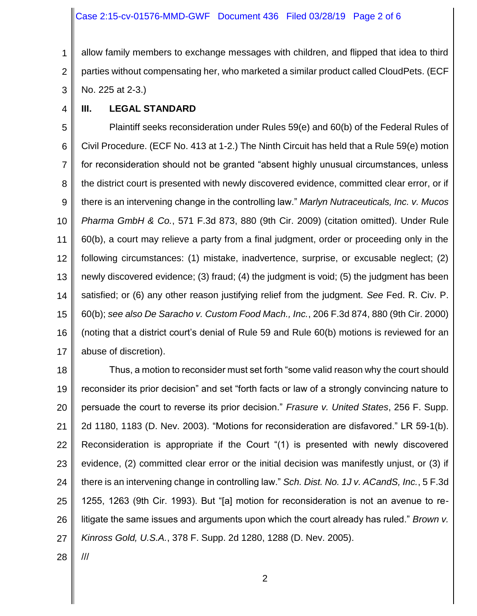1 2 3 allow family members to exchange messages with children, and flipped that idea to third parties without compensating her, who marketed a similar product called CloudPets. (ECF No. 225 at 2-3.)

4

## **III. LEGAL STANDARD**

5 6 7 8 9 10 11 12 13 14 15 16 17 Plaintiff seeks reconsideration under Rules 59(e) and 60(b) of the Federal Rules of Civil Procedure. (ECF No. 413 at 1-2.) The Ninth Circuit has held that a Rule 59(e) motion for reconsideration should not be granted "absent highly unusual circumstances, unless the district court is presented with newly discovered evidence, committed clear error, or if there is an intervening change in the controlling law." *Marlyn Nutraceuticals, Inc. v. Mucos Pharma GmbH & Co.*, 571 F.3d 873, 880 (9th Cir. 2009) (citation omitted). Under Rule 60(b), a court may relieve a party from a final judgment, order or proceeding only in the following circumstances: (1) mistake, inadvertence, surprise, or excusable neglect; (2) newly discovered evidence; (3) fraud; (4) the judgment is void; (5) the judgment has been satisfied; or (6) any other reason justifying relief from the judgment. *See* Fed. R. Civ. P. 60(b); *see also De Saracho v. Custom Food Mach., Inc.*, 206 F.3d 874, 880 (9th Cir. 2000) (noting that a district court's denial of Rule 59 and Rule 60(b) motions is reviewed for an abuse of discretion).

18 19 20 21 22 23 24 25 26 27 Thus, a motion to reconsider must set forth "some valid reason why the court should reconsider its prior decision" and set "forth facts or law of a strongly convincing nature to persuade the court to reverse its prior decision." *Frasure v. United States*, 256 F. Supp. 2d 1180, 1183 (D. Nev. 2003). "Motions for reconsideration are disfavored." LR 59-1(b). Reconsideration is appropriate if the Court "(1) is presented with newly discovered evidence, (2) committed clear error or the initial decision was manifestly unjust, or (3) if there is an intervening change in controlling law." *Sch. Dist. No. 1J v. ACandS, Inc.*, 5 F.3d 1255, 1263 (9th Cir. 1993). But "[a] motion for reconsideration is not an avenue to relitigate the same issues and arguments upon which the court already has ruled." *Brown v. Kinross Gold, U.S.A.*, 378 F. Supp. 2d 1280, 1288 (D. Nev. 2005).

28

///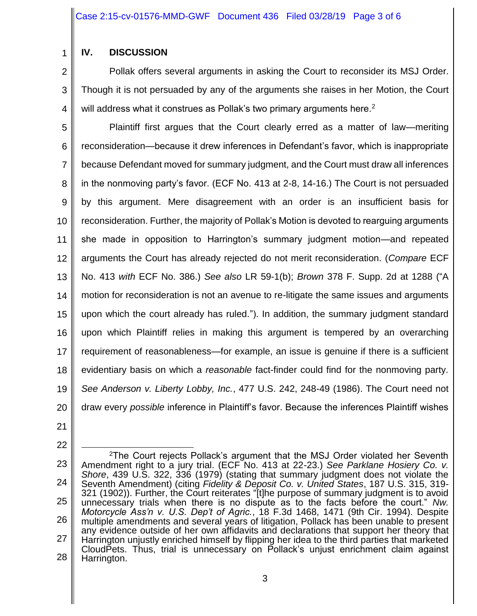## **IV. DISCUSSION**

1

2 3 4 Pollak offers several arguments in asking the Court to reconsider its MSJ Order. Though it is not persuaded by any of the arguments she raises in her Motion, the Court will address what it construes as Pollak's two primary arguments here.<sup>2</sup>

5 6 7 8 9 10 11 12 13 14 15 16 17 18 19 20 Plaintiff first argues that the Court clearly erred as a matter of law—meriting reconsideration—because it drew inferences in Defendant's favor, which is inappropriate because Defendant moved for summary judgment, and the Court must draw all inferences in the nonmoving party's favor. (ECF No. 413 at 2-8, 14-16.) The Court is not persuaded by this argument. Mere disagreement with an order is an insufficient basis for reconsideration. Further, the majority of Pollak's Motion is devoted to rearguing arguments she made in opposition to Harrington's summary judgment motion—and repeated arguments the Court has already rejected do not merit reconsideration. (*Compare* ECF No. 413 *with* ECF No. 386.) *See also* LR 59-1(b); *Brown* 378 F. Supp. 2d at 1288 ("A motion for reconsideration is not an avenue to re-litigate the same issues and arguments upon which the court already has ruled."). In addition, the summary judgment standard upon which Plaintiff relies in making this argument is tempered by an overarching requirement of reasonableness—for example, an issue is genuine if there is a sufficient evidentiary basis on which a *reasonable* fact-finder could find for the nonmoving party. *See Anderson v. Liberty Lobby, Inc.*, 477 U.S. 242, 248-49 (1986). The Court need not draw every *possible* inference in Plaintiff's favor. Because the inferences Plaintiff wishes

21

22

<sup>23</sup> 24 25 26 27 28 l <sup>2</sup>The Court rejects Pollack's argument that the MSJ Order violated her Seventh Amendment right to a jury trial. (ECF No. 413 at 22-23.) *See Parklane Hosiery Co. v. Shore*, 439 U.S. 322, 336 (1979) (stating that summary judgment does not violate the Seventh Amendment) (citing *Fidelity & Deposit Co. v. United States*, 187 U.S. 315, 319- 321 (1902)). Further, the Court reiterates "[t]he purpose of summary judgment is to avoid unnecessary trials when there is no dispute as to the facts before the court." *Nw. Motorcycle Ass'n v. U.S. Dep't of Agric.*, 18 F.3d 1468, 1471 (9th Cir. 1994). Despite multiple amendments and several years of litigation, Pollack has been unable to present any evidence outside of her own affidavits and declarations that support her theory that Harrington unjustly enriched himself by flipping her idea to the third parties that marketed CloudPets. Thus, trial is unnecessary on Pollack's unjust enrichment claim against Harrington.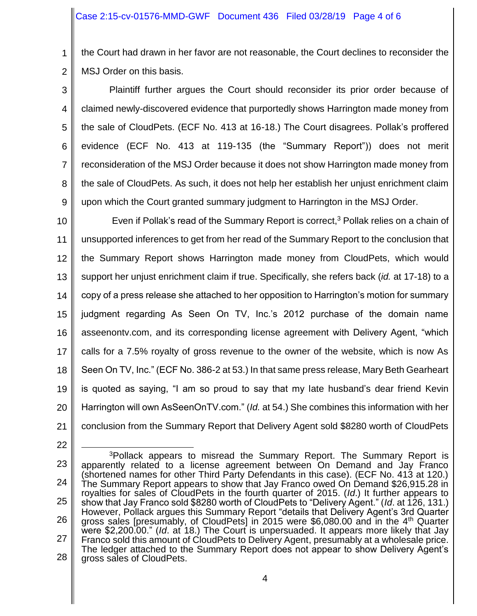1 2 the Court had drawn in her favor are not reasonable, the Court declines to reconsider the MSJ Order on this basis.

3 4 5 6 7 8 9 Plaintiff further argues the Court should reconsider its prior order because of claimed newly-discovered evidence that purportedly shows Harrington made money from the sale of CloudPets. (ECF No. 413 at 16-18.) The Court disagrees. Pollak's proffered evidence (ECF No. 413 at 119-135 (the "Summary Report")) does not merit reconsideration of the MSJ Order because it does not show Harrington made money from the sale of CloudPets. As such, it does not help her establish her unjust enrichment claim upon which the Court granted summary judgment to Harrington in the MSJ Order.

10 11 12 13 14 15 16 17 18 19 20 21 Even if Pollak's read of the Summary Report is correct, <sup>3</sup> Pollak relies on a chain of unsupported inferences to get from her read of the Summary Report to the conclusion that the Summary Report shows Harrington made money from CloudPets, which would support her unjust enrichment claim if true. Specifically, she refers back (*id.* at 17-18) to a copy of a press release she attached to her opposition to Harrington's motion for summary judgment regarding As Seen On TV, Inc.'s 2012 purchase of the domain name asseenontv.com, and its corresponding license agreement with Delivery Agent, "which calls for a 7.5% royalty of gross revenue to the owner of the website, which is now As Seen On TV, Inc." (ECF No. 386-2 at 53.) In that same press release, Mary Beth Gearheart is quoted as saying, "I am so proud to say that my late husband's dear friend Kevin Harrington will own AsSeenOnTV.com." (*Id.* at 54.) She combines this information with her conclusion from the Summary Report that Delivery Agent sold \$8280 worth of CloudPets

<sup>22</sup>

<sup>23</sup> 24 25 26 27 28 l <sup>3</sup>Pollack appears to misread the Summary Report. The Summary Report is apparently related to a license agreement between On Demand and Jay Franco (shortened names for other Third Party Defendants in this case). (ECF No. 413 at 120.) The Summary Report appears to show that Jay Franco owed On Demand \$26,915.28 in royalties for sales of CloudPets in the fourth quarter of 2015. (*Id*.) It further appears to show that Jay Franco sold \$8280 worth of CloudPets to "Delivery Agent." (*Id*. at 126, 131.) However, Pollack argues this Summary Report "details that Delivery Agent's 3rd Quarter gross sales [presumably, of CloudPets] in 2015 were \$6,080.00 and in the 4<sup>th</sup> Quarter were \$2,200.00." (*Id*. at 18.) The Court is unpersuaded. It appears more likely that Jay Franco sold this amount of CloudPets to Delivery Agent, presumably at a wholesale price. The ledger attached to the Summary Report does not appear to show Delivery Agent's gross sales of CloudPets.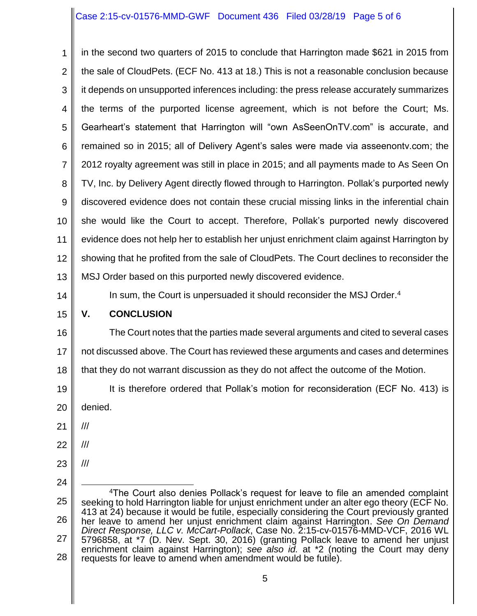## Case 2:15-cv-01576-MMD-GWF Document 436 Filed 03/28/19 Page 5 of 6

1 2 3 4 5 6 7 8 9 10 11 12 13 14 in the second two quarters of 2015 to conclude that Harrington made \$621 in 2015 from the sale of CloudPets. (ECF No. 413 at 18.) This is not a reasonable conclusion because it depends on unsupported inferences including: the press release accurately summarizes the terms of the purported license agreement, which is not before the Court; Ms. Gearheart's statement that Harrington will "own AsSeenOnTV.com" is accurate, and remained so in 2015; all of Delivery Agent's sales were made via asseenontv.com; the 2012 royalty agreement was still in place in 2015; and all payments made to As Seen On TV, Inc. by Delivery Agent directly flowed through to Harrington. Pollak's purported newly discovered evidence does not contain these crucial missing links in the inferential chain she would like the Court to accept. Therefore, Pollak's purported newly discovered evidence does not help her to establish her unjust enrichment claim against Harrington by showing that he profited from the sale of CloudPets. The Court declines to reconsider the MSJ Order based on this purported newly discovered evidence. In sum, the Court is unpersuaded it should reconsider the MSJ Order. 4

## 15 **V. CONCLUSION**

16 17 The Court notes that the parties made several arguments and cited to several cases not discussed above. The Court has reviewed these arguments and cases and determines

18 that they do not warrant discussion as they do not affect the outcome of the Motion.

19 20 It is therefore ordered that Pollak's motion for reconsideration (ECF No. 413) is denied.

21 ///

22 ///

- 23 ///
- 24

<sup>25</sup> 26 27 28 l  $4$ The Court also denies Pollack's request for leave to file an amended complaint seeking to hold Harrington liable for unjust enrichment under an alter ego theory (ECF No. 413 at 24) because it would be futile, especially considering the Court previously granted her leave to amend her unjust enrichment claim against Harrington. *See On Demand Direct Response, LLC v. McCart-Pollack*, Case No. 2:15-cv-01576-MMD-VCF, 2016 WL 5796858, at \*7 (D. Nev. Sept. 30, 2016) (granting Pollack leave to amend her unjust enrichment claim against Harrington); *see also id.* at \*2 (noting the Court may deny requests for leave to amend when amendment would be futile).